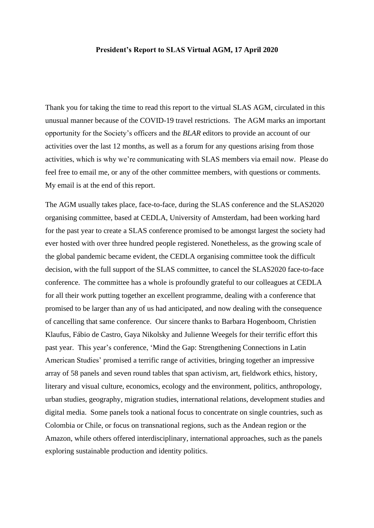## **President's Report to SLAS Virtual AGM, 17 April 2020**

Thank you for taking the time to read this report to the virtual SLAS AGM, circulated in this unusual manner because of the COVID-19 travel restrictions. The AGM marks an important opportunity for the Society's officers and the *BLAR* editors to provide an account of our activities over the last 12 months, as well as a forum for any questions arising from those activities, which is why we're communicating with SLAS members via email now. Please do feel free to email me, or any of the other committee members, with questions or comments. My email is at the end of this report.

The AGM usually takes place, face-to-face, during the SLAS conference and the SLAS2020 organising committee, based at CEDLA, University of Amsterdam, had been working hard for the past year to create a SLAS conference promised to be amongst largest the society had ever hosted with over three hundred people registered. Nonetheless, as the growing scale of the global pandemic became evident, the CEDLA organising committee took the difficult decision, with the full support of the SLAS committee, to cancel the SLAS2020 face-to-face conference. The committee has a whole is profoundly grateful to our colleagues at CEDLA for all their work putting together an excellent programme, dealing with a conference that promised to be larger than any of us had anticipated, and now dealing with the consequence of cancelling that same conference. Our sincere thanks to Barbara Hogenboom, Christien Klaufus, Fábio de Castro, Gaya Nikolsky and Julienne Weegels for their terrific effort this past year. This year's conference, 'Mind the Gap: Strengthening Connections in Latin American Studies' promised a terrific range of activities, bringing together an impressive array of 58 panels and seven round tables that span activism, art, fieldwork ethics, history, literary and visual culture, economics, ecology and the environment, politics, anthropology, urban studies, geography, migration studies, international relations, development studies and digital media. Some panels took a national focus to concentrate on single countries, such as Colombia or Chile, or focus on transnational regions, such as the Andean region or the Amazon, while others offered interdisciplinary, international approaches, such as the panels exploring sustainable production and identity politics.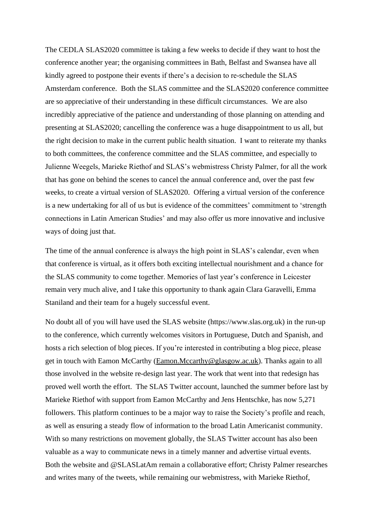The CEDLA SLAS2020 committee is taking a few weeks to decide if they want to host the conference another year; the organising committees in Bath, Belfast and Swansea have all kindly agreed to postpone their events if there's a decision to re-schedule the SLAS Amsterdam conference. Both the SLAS committee and the SLAS2020 conference committee are so appreciative of their understanding in these difficult circumstances. We are also incredibly appreciative of the patience and understanding of those planning on attending and presenting at SLAS2020; cancelling the conference was a huge disappointment to us all, but the right decision to make in the current public health situation. I want to reiterate my thanks to both committees, the conference committee and the SLAS committee, and especially to Julienne Weegels, Marieke Riethof and SLAS's webmistress Christy Palmer, for all the work that has gone on behind the scenes to cancel the annual conference and, over the past few weeks, to create a virtual version of SLAS2020. Offering a virtual version of the conference is a new undertaking for all of us but is evidence of the committees' commitment to 'strength connections in Latin American Studies' and may also offer us more innovative and inclusive ways of doing just that.

The time of the annual conference is always the high point in SLAS's calendar, even when that conference is virtual, as it offers both exciting intellectual nourishment and a chance for the SLAS community to come together. Memories of last year's conference in Leicester remain very much alive, and I take this opportunity to thank again Clara Garavelli, Emma Staniland and their team for a hugely successful event.

No doubt all of you will have used the SLAS website (https://www.slas.org.uk) in the run-up to the conference, which currently welcomes visitors in Portuguese, Dutch and Spanish, and hosts a rich selection of blog pieces. If you're interested in contributing a blog piece, please get in touch with Eamon McCarthy [\(Eamon.Mccarthy@glasgow.ac.uk\)](mailto:Eamon.Mccarthy@glasgow.ac.uk). Thanks again to all those involved in the website re-design last year. The work that went into that redesign has proved well worth the effort. The SLAS Twitter account, launched the summer before last by Marieke Riethof with support from Eamon McCarthy and Jens Hentschke, has now 5,271 followers. This platform continues to be a major way to raise the Society's profile and reach, as well as ensuring a steady flow of information to the broad Latin Americanist community. With so many restrictions on movement globally, the SLAS Twitter account has also been valuable as a way to communicate news in a timely manner and advertise virtual events. Both the website and @SLASLatAm remain a collaborative effort; Christy Palmer researches and writes many of the tweets, while remaining our webmistress, with Marieke Riethof,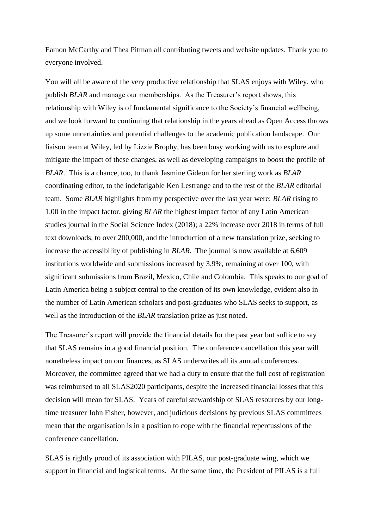Eamon McCarthy and Thea Pitman all contributing tweets and website updates. Thank you to everyone involved.

You will all be aware of the very productive relationship that SLAS enjoys with Wiley, who publish *BLAR* and manage our memberships. As the Treasurer's report shows, this relationship with Wiley is of fundamental significance to the Society's financial wellbeing, and we look forward to continuing that relationship in the years ahead as Open Access throws up some uncertainties and potential challenges to the academic publication landscape. Our liaison team at Wiley, led by Lizzie Brophy, has been busy working with us to explore and mitigate the impact of these changes, as well as developing campaigns to boost the profile of *BLAR*. This is a chance, too, to thank Jasmine Gideon for her sterling work as *BLAR* coordinating editor, to the indefatigable Ken Lestrange and to the rest of the *BLAR* editorial team. Some *BLAR* highlights from my perspective over the last year were: *BLAR* rising to 1.00 in the impact factor, giving *BLAR* the highest impact factor of any Latin American studies journal in the Social Science Index (2018); a 22% increase over 2018 in terms of full text downloads, to over 200,000, and the introduction of a new translation prize, seeking to increase the accessibility of publishing in *BLAR*. The journal is now available at 6,609 institutions worldwide and submissions increased by 3.9%, remaining at over 100, with significant submissions from Brazil, Mexico, Chile and Colombia. This speaks to our goal of Latin America being a subject central to the creation of its own knowledge, evident also in the number of Latin American scholars and post-graduates who SLAS seeks to support, as well as the introduction of the *BLAR* translation prize as just noted.

The Treasurer's report will provide the financial details for the past year but suffice to say that SLAS remains in a good financial position. The conference cancellation this year will nonetheless impact on our finances, as SLAS underwrites all its annual conferences. Moreover, the committee agreed that we had a duty to ensure that the full cost of registration was reimbursed to all SLAS2020 participants, despite the increased financial losses that this decision will mean for SLAS. Years of careful stewardship of SLAS resources by our longtime treasurer John Fisher, however, and judicious decisions by previous SLAS committees mean that the organisation is in a position to cope with the financial repercussions of the conference cancellation.

SLAS is rightly proud of its association with PILAS, our post-graduate wing, which we support in financial and logistical terms. At the same time, the President of PILAS is a full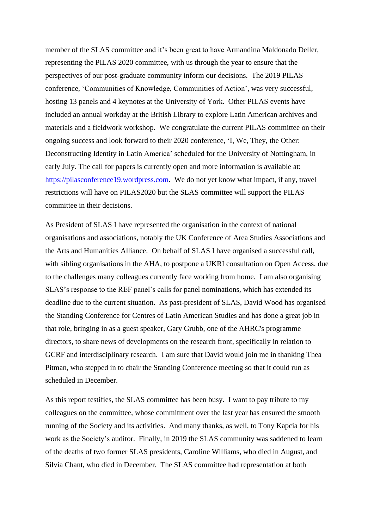member of the SLAS committee and it's been great to have Armandina Maldonado Deller, representing the PILAS 2020 committee, with us through the year to ensure that the perspectives of our post-graduate community inform our decisions. The 2019 PILAS conference, 'Communities of Knowledge, Communities of Action', was very successful, hosting 13 panels and 4 keynotes at the University of York. Other PILAS events have included an annual workday at the British Library to explore Latin American archives and materials and a fieldwork workshop. We congratulate the current PILAS committee on their ongoing success and look forward to their 2020 conference, 'I, We, They, the Other: Deconstructing Identity in Latin America' scheduled for the University of Nottingham, in early July. The call for papers is currently open and more information is available at: [https://pilasconference19.wordpress.com.](https://pilasconference19.wordpress.com/) We do not yet know what impact, if any, travel restrictions will have on PILAS2020 but the SLAS committee will support the PILAS committee in their decisions.

As President of SLAS I have represented the organisation in the context of national organisations and associations, notably the UK Conference of Area Studies Associations and the Arts and Humanities Alliance. On behalf of SLAS I have organised a successful call, with sibling organisations in the AHA, to postpone a UKRI consultation on Open Access, due to the challenges many colleagues currently face working from home. I am also organising SLAS's response to the REF panel's calls for panel nominations, which has extended its deadline due to the current situation. As past-president of SLAS, David Wood has organised the Standing Conference for Centres of Latin American Studies and has done a great job in that role, bringing in as a guest speaker, Gary Grubb, one of the AHRC's programme directors, to share news of developments on the research front, specifically in relation to GCRF and interdisciplinary research. I am sure that David would join me in thanking Thea Pitman, who stepped in to chair the Standing Conference meeting so that it could run as scheduled in December.

As this report testifies, the SLAS committee has been busy. I want to pay tribute to my colleagues on the committee, whose commitment over the last year has ensured the smooth running of the Society and its activities. And many thanks, as well, to Tony Kapcia for his work as the Society's auditor. Finally, in 2019 the SLAS community was saddened to learn of the deaths of two former SLAS presidents, Caroline Williams, who died in August, and Silvia Chant, who died in December. The SLAS committee had representation at both